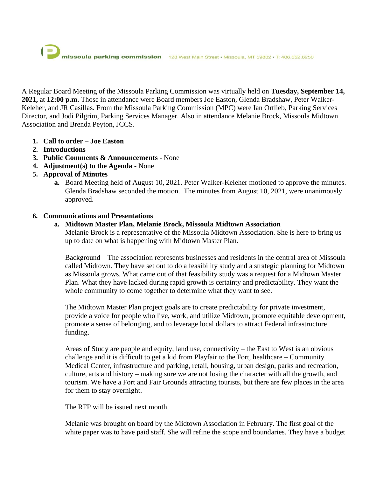A Regular Board Meeting of the Missoula Parking Commission was virtually held on **Tuesday, September 14, 2021,** at **12:00 p.m.** Those in attendance were Board members Joe Easton, Glenda Bradshaw, Peter Walker-Keleher, and JR Casillas. From the Missoula Parking Commission (MPC) were Ian Ortlieb, Parking Services Director, and Jodi Pilgrim, Parking Services Manager. Also in attendance Melanie Brock, Missoula Midtown Association and Brenda Peyton, JCCS.

- **1. Call to order – Joe Easton**
- **2. Introductions**
- **3. Public Comments & Announcements** None
- **4. Adjustment(s) to the Agenda** None
- **5. Approval of Minutes**
	- **a.** Board Meeting held of August 10, 2021. Peter Walker-Keleher motioned to approve the minutes. Glenda Bradshaw seconded the motion. The minutes from August 10, 2021, were unanimously approved.

# **6. Communications and Presentations**

# **a. Midtown Master Plan, Melanie Brock, Missoula Midtown Association**

Melanie Brock is a representative of the Missoula Midtown Association. She is here to bring us up to date on what is happening with Midtown Master Plan.

Background – The association represents businesses and residents in the central area of Missoula called Midtown. They have set out to do a feasibility study and a strategic planning for Midtown as Missoula grows. What came out of that feasibility study was a request for a Midtown Master Plan. What they have lacked during rapid growth is certainty and predictability. They want the whole community to come together to determine what they want to see.

The Midtown Master Plan project goals are to create predictability for private investment, provide a voice for people who live, work, and utilize Midtown, promote equitable development, promote a sense of belonging, and to leverage local dollars to attract Federal infrastructure funding.

Areas of Study are people and equity, land use, connectivity – the East to West is an obvious challenge and it is difficult to get a kid from Playfair to the Fort, healthcare – Community Medical Center, infrastructure and parking, retail, housing, urban design, parks and recreation, culture, arts and history – making sure we are not losing the character with all the growth, and tourism. We have a Fort and Fair Grounds attracting tourists, but there are few places in the area for them to stay overnight.

The RFP will be issued next month.

Melanie was brought on board by the Midtown Association in February. The first goal of the white paper was to have paid staff. She will refine the scope and boundaries. They have a budget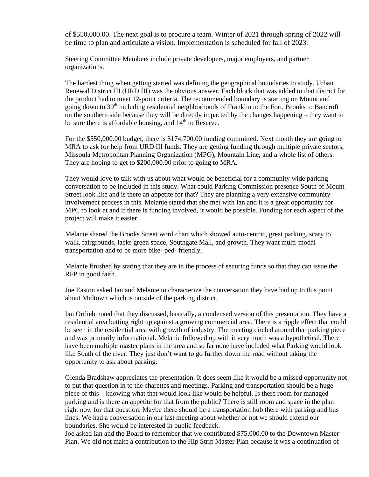of \$550,000.00. The next goal is to procure a team. Winter of 2021 through spring of 2022 will be time to plan and articulate a vision. Implementation is scheduled for fall of 2023.

Steering Committee Members include private developers, major employers, and partner organizations.

The hardest thing when getting started was defining the geographical boundaries to study. Urban Renewal District III (URD III) was the obvious answer. Each block that was added to that district for the product had to meet 12-point criteria. The recommended boundary is starting on Mount and going down to 39<sup>th</sup> including residential neighborhoods of Franklin to the Fort, Brooks to Bancroft on the southern side because they will be directly impacted by the changes happening – they want to be sure there is affordable housing, and  $14<sup>th</sup>$  to Reserve.

For the \$550,000.00 budget, there is \$174,700.00 funding committed. Next month they are going to MRA to ask for help from URD III funds. They are getting funding through multiple private sectors, Missoula Metropolitan Planning Organization (MPO), Mountain Line, and a whole list of others. They are hoping to get to \$200,000.00 prior to going to MRA.

They would love to talk with us about what would be beneficial for a community wide parking conversation to be included in this study. What could Parking Commission presence South of Mount Street look like and is there an appetite for that? They are planning a very extensive community involvement process in this. Melanie stated that she met with Ian and it is a great opportunity for MPC to look at and if there is funding involved, it would be possible. Funding for each aspect of the project will make it easier.

Melanie shared the Brooks Street word chart which showed auto-centric, great parking, scary to walk, fairgrounds, lacks green space, Southgate Mall, and growth. They want multi-modal transportation and to be more bike- ped- friendly.

Melanie finished by stating that they are in the process of securing funds so that they can issue the RFP in good faith.

Joe Easton asked Ian and Melanie to characterize the conversation they have had up to this point about Midtown which is outside of the parking district.

Ian Ortlieb noted that they discussed, basically, a condensed version of this presentation. They have a residential area butting right up against a growing commercial area. There is a ripple effect that could be seen in the residential area with growth of industry. The meeting circled around that parking piece and was primarily informational. Melanie followed up with it very much was a hypothetical. There have been multiple master plans in the area and so far none have included what Parking would look like South of the river. They just don't want to go further down the road without taking the opportunity to ask about parking.

Glenda Bradshaw appreciates the presentation. It does seem like it would be a missed opportunity not to put that question in to the charettes and meetings. Parking and transportation should be a huge piece of this – knowing what that would look like would be helpful. Is there room for managed parking and is there an appetite for that from the public? There is still room and space in the plan right now for that question. Maybe there should be a transportation hub there with parking and bus lines. We had a conversation in our last meeting about whether or not we should extend our boundaries. She would be interested in public feedback.

Joe asked Ian and the Board to remember that we contributed \$75,000.00 to the Downtown Master Plan. We did not make a contribution to the Hip Strip Master Plan because it was a continuation of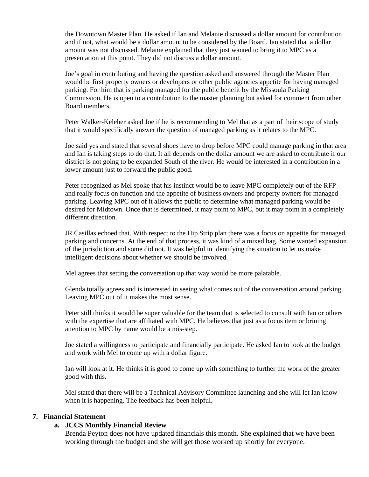the Downtown Master Plan. He asked if Ian and Melanie discussed a dollar amount for contribution and if not, what would be a dollar amount to be considered by the Board. Ian stated that a dollar amount was not discussed. Melanie explained that they just wanted to bring it to MPC as a presentation at this point. They did not discuss a dollar amount.

Joe's goal in contributing and having the question asked and answered through the Master Plan would be first property owners or developers or other public agencies appetite for having managed parking. For him that is parking managed for the public benefit by the Missoula Parking Commission. He is open to a contribution to the master planning but asked for comment from other Board members.

Peter Walker-Keleher asked Joe if he is recommending to Mel that as a part of their scope of study that it would specifically answer the question of managed parking as it relates to the MPC.

Joe said yes and stated that several shoes have to drop before MPC could manage parking in that area and Ian is taking steps to do that. It all depends on the dollar amount we are asked to contribute if our district is not going to be expanded South of the river. He would be interested in a contribution in a lower amount just to forward the public good.

Peter recognized as Mel spoke that his instinct would be to leave MPC completely out of the RFP and really focus on function and the appetite of business owners and property owners for managed parking. Leaving MPC out of it allows the public to determine what managed parking would be desired for Midtown. Once that is determined, it may point to MPC, but it may point in a completely different direction.

JR Casillas echoed that. With respect to the Hip Strip plan there was a focus on appetite for managed parking and concerns. At the end of that process, it was kind of a mixed bag. Some wanted expansion of the jurisdiction and some did not. It was helpful in identifying the situation to let us make intelligent decisions about whether we should be involved.

Mel agrees that setting the conversation up that way would be more palatable.

Glenda totally agrees and is interested in seeing what comes out of the conversation around parking. Leaving MPC out of it makes the most sense.

Peter still thinks it would be super valuable for the team that is selected to consult with Ian or others with the expertise that are affiliated with MPC. He believes that just as a focus item or brining attention to MPC by name would be a mis-step.

Joe stated a willingness to participate and financially participate. He asked Ian to look at the budget and work with Mel to come up with a dollar figure.

Ian will look at it. He thinks it is good to come up with something to further the work of the greater good with this.

Mel stated that there will be a Technical Advisory Committee launching and she will let Ian know when it is happening. The feedback has been helpful.

### **7. Financial Statement**

### **a. JCCS Monthly Financial Review**

Brenda Peyton does not have updated financials this month. She explained that we have been working through the budget and she will get those worked up shortly for everyone.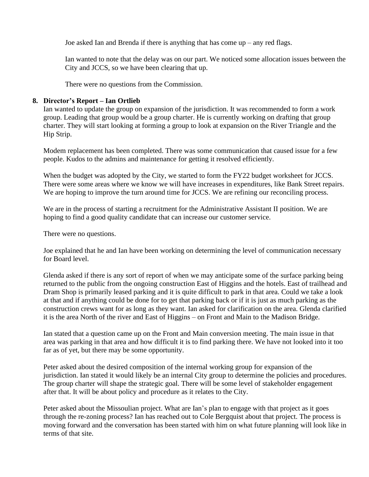Joe asked Ian and Brenda if there is anything that has come up – any red flags.

Ian wanted to note that the delay was on our part. We noticed some allocation issues between the City and JCCS, so we have been clearing that up.

There were no questions from the Commission.

# **8. Director's Report – Ian Ortlieb**

Ian wanted to update the group on expansion of the jurisdiction. It was recommended to form a work group. Leading that group would be a group charter. He is currently working on drafting that group charter. They will start looking at forming a group to look at expansion on the River Triangle and the Hip Strip.

Modem replacement has been completed. There was some communication that caused issue for a few people. Kudos to the admins and maintenance for getting it resolved efficiently.

When the budget was adopted by the City, we started to form the FY22 budget worksheet for JCCS. There were some areas where we know we will have increases in expenditures, like Bank Street repairs. We are hoping to improve the turn around time for JCCS. We are refining our reconciling process.

We are in the process of starting a recruitment for the Administrative Assistant II position. We are hoping to find a good quality candidate that can increase our customer service.

There were no questions.

Joe explained that he and Ian have been working on determining the level of communication necessary for Board level.

Glenda asked if there is any sort of report of when we may anticipate some of the surface parking being returned to the public from the ongoing construction East of Higgins and the hotels. East of trailhead and Dram Shop is primarily leased parking and it is quite difficult to park in that area. Could we take a look at that and if anything could be done for to get that parking back or if it is just as much parking as the construction crews want for as long as they want. Ian asked for clarification on the area. Glenda clarified it is the area North of the river and East of Higgins – on Front and Main to the Madison Bridge.

Ian stated that a question came up on the Front and Main conversion meeting. The main issue in that area was parking in that area and how difficult it is to find parking there. We have not looked into it too far as of yet, but there may be some opportunity.

Peter asked about the desired composition of the internal working group for expansion of the jurisdiction. Ian stated it would likely be an internal City group to determine the policies and procedures. The group charter will shape the strategic goal. There will be some level of stakeholder engagement after that. It will be about policy and procedure as it relates to the City.

Peter asked about the Missoulian project. What are Ian's plan to engage with that project as it goes through the re-zoning process? Ian has reached out to Cole Bergquist about that project. The process is moving forward and the conversation has been started with him on what future planning will look like in terms of that site.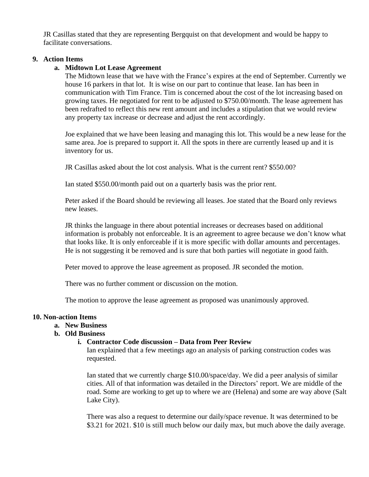JR Casillas stated that they are representing Bergquist on that development and would be happy to facilitate conversations.

# **9. Action Items**

# **a. Midtown Lot Lease Agreement**

The Midtown lease that we have with the France's expires at the end of September. Currently we house 16 parkers in that lot. It is wise on our part to continue that lease. Ian has been in communication with Tim France. Tim is concerned about the cost of the lot increasing based on growing taxes. He negotiated for rent to be adjusted to \$750.00/month. The lease agreement has been redrafted to reflect this new rent amount and includes a stipulation that we would review any property tax increase or decrease and adjust the rent accordingly.

Joe explained that we have been leasing and managing this lot. This would be a new lease for the same area. Joe is prepared to support it. All the spots in there are currently leased up and it is inventory for us.

JR Casillas asked about the lot cost analysis. What is the current rent? \$550.00?

Ian stated \$550.00/month paid out on a quarterly basis was the prior rent.

Peter asked if the Board should be reviewing all leases. Joe stated that the Board only reviews new leases.

JR thinks the language in there about potential increases or decreases based on additional information is probably not enforceable. It is an agreement to agree because we don't know what that looks like. It is only enforceable if it is more specific with dollar amounts and percentages. He is not suggesting it be removed and is sure that both parties will negotiate in good faith.

Peter moved to approve the lease agreement as proposed. JR seconded the motion.

There was no further comment or discussion on the motion.

The motion to approve the lease agreement as proposed was unanimously approved.

#### **10. Non-action Items**

#### **a. New Business**

### **b. Old Business**

### **i. Contractor Code discussion – Data from Peer Review**

Ian explained that a few meetings ago an analysis of parking construction codes was requested.

Ian stated that we currently charge \$10.00/space/day. We did a peer analysis of similar cities. All of that information was detailed in the Directors' report. We are middle of the road. Some are working to get up to where we are (Helena) and some are way above (Salt Lake City).

There was also a request to determine our daily/space revenue. It was determined to be \$3.21 for 2021. \$10 is still much below our daily max, but much above the daily average.